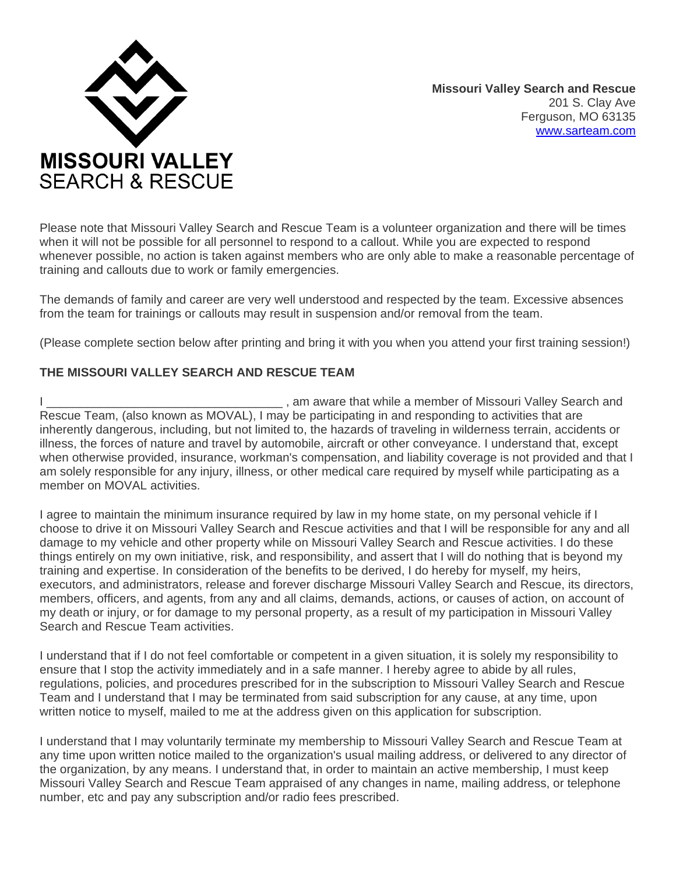

**Missouri Valley Search and Rescue**  201 S. Clay Ave Ferguson, MO 63135 [www.sarteam.com](http://www.sarteam.com/)

Please note that Missouri Valley Search and Rescue Team is a volunteer organization and there will be times when it will not be possible for all personnel to respond to a callout. While you are expected to respond whenever possible, no action is taken against members who are only able to make a reasonable percentage of training and callouts due to work or family emergencies.

The demands of family and career are very well understood and respected by the team. Excessive absences from the team for trainings or callouts may result in suspension and/or removal from the team.

(Please complete section below after printing and bring it with you when you attend your first training session!)

## **THE MISSOURI VALLEY SEARCH AND RESCUE TEAM**

I \_\_\_\_\_\_\_\_\_\_\_\_\_\_\_\_\_\_\_\_\_\_\_\_\_\_\_\_\_\_\_\_\_\_\_ , am aware that while a member of Missouri Valley Search and Rescue Team, (also known as MOVAL), I may be participating in and responding to activities that are inherently dangerous, including, but not limited to, the hazards of traveling in wilderness terrain, accidents or illness, the forces of nature and travel by automobile, aircraft or other conveyance. I understand that, except when otherwise provided, insurance, workman's compensation, and liability coverage is not provided and that I am solely responsible for any injury, illness, or other medical care required by myself while participating as a member on MOVAL activities.

I agree to maintain the minimum insurance required by law in my home state, on my personal vehicle if I choose to drive it on Missouri Valley Search and Rescue activities and that I will be responsible for any and all damage to my vehicle and other property while on Missouri Valley Search and Rescue activities. I do these things entirely on my own initiative, risk, and responsibility, and assert that I will do nothing that is beyond my training and expertise. In consideration of the benefits to be derived, I do hereby for myself, my heirs, executors, and administrators, release and forever discharge Missouri Valley Search and Rescue, its directors, members, officers, and agents, from any and all claims, demands, actions, or causes of action, on account of my death or injury, or for damage to my personal property, as a result of my participation in Missouri Valley Search and Rescue Team activities.

I understand that if I do not feel comfortable or competent in a given situation, it is solely my responsibility to ensure that I stop the activity immediately and in a safe manner. I hereby agree to abide by all rules, regulations, policies, and procedures prescribed for in the subscription to Missouri Valley Search and Rescue Team and I understand that I may be terminated from said subscription for any cause, at any time, upon written notice to myself, mailed to me at the address given on this application for subscription.

I understand that I may voluntarily terminate my membership to Missouri Valley Search and Rescue Team at any time upon written notice mailed to the organization's usual mailing address, or delivered to any director of the organization, by any means. I understand that, in order to maintain an active membership, I must keep Missouri Valley Search and Rescue Team appraised of any changes in name, mailing address, or telephone number, etc and pay any subscription and/or radio fees prescribed.